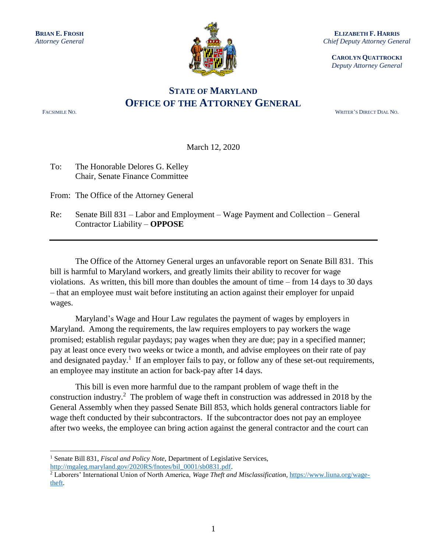

**ELIZABETH F. HARRIS** *Chief Deputy Attorney General*

**CAROLYN QUATTROCKI** *Deputy Attorney General*

## **STATE OF MARYLAND OFFICE OF THE ATTORNEY GENERAL**

 $\overline{a}$ 

FACSIMILE NO. WRITER'S DIRECT DIAL NO.

March 12, 2020

To: The Honorable Delores G. Kelley Chair, Senate Finance Committee

From: The Office of the Attorney General

Re: Senate Bill 831 – Labor and Employment – Wage Payment and Collection – General Contractor Liability – **OPPOSE** 

The Office of the Attorney General urges an unfavorable report on Senate Bill 831. This bill is harmful to Maryland workers, and greatly limits their ability to recover for wage violations. As written, this bill more than doubles the amount of time – from 14 days to 30 days – that an employee must wait before instituting an action against their employer for unpaid wages.

Maryland's Wage and Hour Law regulates the payment of wages by employers in Maryland. Among the requirements, the law requires employers to pay workers the wage promised; establish regular paydays; pay wages when they are due; pay in a specified manner; pay at least once every two weeks or twice a month, and advise employees on their rate of pay and designated payday.<sup>1</sup> If an employer fails to pay, or follow any of these set-out requirements, an employee may institute an action for back-pay after 14 days.

This bill is even more harmful due to the rampant problem of wage theft in the construction industry.<sup>2</sup> The problem of wage theft in construction was addressed in 2018 by the General Assembly when they passed Senate Bill 853, which holds general contractors liable for wage theft conducted by their subcontractors. If the subcontractor does not pay an employee after two weeks, the employee can bring action against the general contractor and the court can

<sup>&</sup>lt;sup>1</sup> Senate Bill 831, *Fiscal and Policy Note*, Department of Legislative Services, [http://mgaleg.maryland.gov/2020RS/fnotes/bil\\_0001/sb0831.pdf.](http://mgaleg.maryland.gov/2020RS/fnotes/bil_0001/sb0831.pdf)

<sup>&</sup>lt;sup>2</sup> Laborers' International Union of North America, *Wage Theft and Misclassification*, [https://www.liuna.org/wage](https://www.liuna.org/wage-theft)[theft.](https://www.liuna.org/wage-theft)